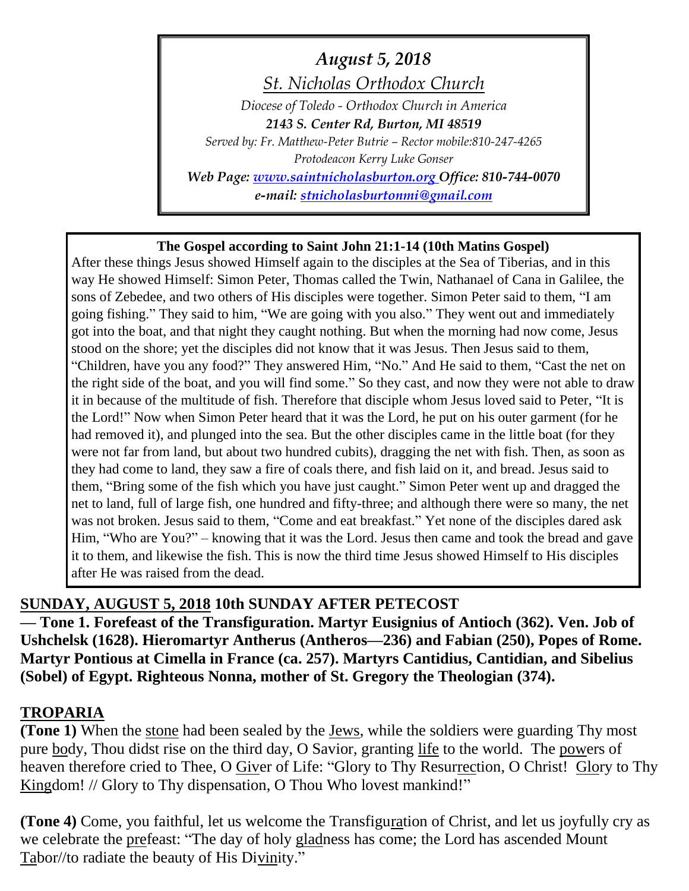*August 5, 2018*

*St. Nicholas Orthodox Church*

*Diocese of Toledo - Orthodox Church in America*

*2143 S. Center Rd, Burton, MI 48519*

*Served by: Fr. Matthew-Peter Butrie – Rector mobile:810-247-4265 Protodeacon Kerry Luke Gonser Web Page: [www.saintnicholasburton.org](http://www.saintnicholasburton.org/) Office: 810-744-0070*

*e-mail: [stnicholasburtonmi@gmail.com](mailto:stnicholasburtonmi@gmail.com)*

### **The Gospel according to Saint John 21:1-14 (10th Matins Gospel)**

After these things Jesus showed Himself again to the disciples at the Sea of Tiberias, and in this way He showed Himself: Simon Peter, Thomas called the Twin, Nathanael of Cana in Galilee, the sons of Zebedee, and two others of His disciples were together. Simon Peter said to them, "I am going fishing." They said to him, "We are going with you also." They went out and immediately got into the boat, and that night they caught nothing. But when the morning had now come, Jesus stood on the shore; yet the disciples did not know that it was Jesus. Then Jesus said to them, "Children, have you any food?" They answered Him, "No." And He said to them, "Cast the net on the right side of the boat, and you will find some." So they cast, and now they were not able to draw it in because of the multitude of fish. Therefore that disciple whom Jesus loved said to Peter, "It is the Lord!" Now when Simon Peter heard that it was the Lord, he put on his outer garment (for he had removed it), and plunged into the sea. But the other disciples came in the little boat (for they were not far from land, but about two hundred cubits), dragging the net with fish. Then, as soon as they had come to land, they saw a fire of coals there, and fish laid on it, and bread. Jesus said to them, "Bring some of the fish which you have just caught." Simon Peter went up and dragged the net to land, full of large fish, one hundred and fifty-three; and although there were so many, the net was not broken. Jesus said to them, "Come and eat breakfast." Yet none of the disciples dared ask Him, "Who are You?" – knowing that it was the Lord. Jesus then came and took the bread and gave it to them, and likewise the fish. This is now the third time Jesus showed Himself to His disciples after He was raised from the dead.

## **SUNDAY, AUGUST 5, 2018 10th SUNDAY AFTER PETECOST**

**— Tone 1. Forefeast of the Transfiguration. Martyr Eusignius of Antioch (362). Ven. Job of Ushchelsk (1628). Hieromartyr Antherus (Antheros—236) and Fabian (250), Popes of Rome. Martyr Pontious at Cimella in France (ca. 257). Martyrs Cantidius, Cantidian, and Sibelius (Sobel) of Egypt. Righteous Nonna, mother of St. Gregory the Theologian (374).**

## **TROPARIA**

**(Tone 1)** When the stone had been sealed by the Jews, while the soldiers were guarding Thy most pure body, Thou didst rise on the third day, O Savior, granting life to the world. The powers of heaven therefore cried to Thee, O Giver of Life: "Glory to Thy Resurrection, O Christ! Glory to Thy Kingdom! // Glory to Thy dispensation, O Thou Who lovest mankind!"

**(Tone 4)** Come, you faithful, let us welcome the Transfiguration of Christ, and let us joyfully cry as we celebrate the prefeast: "The day of holy gladness has come; the Lord has ascended Mount Tabor//to radiate the beauty of His Divinity."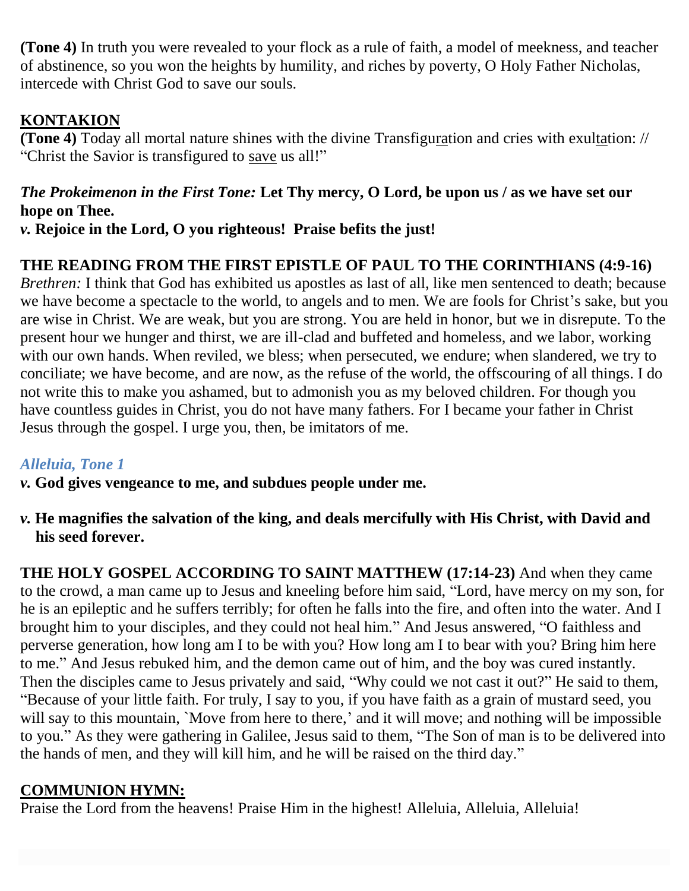**(Tone 4)** In truth you were revealed to your flock as a rule of faith, a model of meekness, and teacher of abstinence, so you won the heights by humility, and riches by poverty, O Holy Father Nicholas, intercede with Christ God to save our souls.

## **KONTAKION**

**(Tone 4)** Today all mortal nature shines with the divine Transfiguration and cries with exultation: // "Christ the Savior is transfigured to save us all!"

# *The Prokeimenon in the First Tone:* **Let Thy mercy, O Lord, be upon us / as we have set our hope on Thee.**

*v.* **Rejoice in the Lord, O you righteous! Praise befits the just!**

# **THE READING FROM THE FIRST EPISTLE OF PAUL TO THE CORINTHIANS (4:9-16)**

*Brethren:* I think that God has exhibited us apostles as last of all, like men sentenced to death; because we have become a spectacle to the world, to angels and to men. We are fools for Christ's sake, but you are wise in Christ. We are weak, but you are strong. You are held in honor, but we in disrepute. To the present hour we hunger and thirst, we are ill-clad and buffeted and homeless, and we labor, working with our own hands. When reviled, we bless; when persecuted, we endure; when slandered, we try to conciliate; we have become, and are now, as the refuse of the world, the offscouring of all things. I do not write this to make you ashamed, but to admonish you as my beloved children. For though you have countless guides in Christ, you do not have many fathers. For I became your father in Christ Jesus through the gospel. I urge you, then, be imitators of me.

## *Alleluia, Tone 1*

- *v.* **God gives vengeance to me, and subdues people under me.**
- *v.* **He magnifies the salvation of the king, and deals mercifully with His Christ, with David and his seed forever.**

**THE HOLY GOSPEL ACCORDING TO SAINT MATTHEW (17:14-23)** And when they came to the crowd, a man came up to Jesus and kneeling before him said, "Lord, have mercy on my son, for he is an epileptic and he suffers terribly; for often he falls into the fire, and often into the water. And I brought him to your disciples, and they could not heal him." And Jesus answered, "O faithless and perverse generation, how long am I to be with you? How long am I to bear with you? Bring him here to me." And Jesus rebuked him, and the demon came out of him, and the boy was cured instantly. Then the disciples came to Jesus privately and said, "Why could we not cast it out?" He said to them, "Because of your little faith. For truly, I say to you, if you have faith as a grain of mustard seed, you will say to this mountain, `Move from here to there,' and it will move; and nothing will be impossible to you." As they were gathering in Galilee, Jesus said to them, "The Son of man is to be delivered into the hands of men, and they will kill him, and he will be raised on the third day."

## **COMMUNION HYMN:**

Praise the Lord from the heavens! Praise Him in the highest! Alleluia, Alleluia, Alleluia!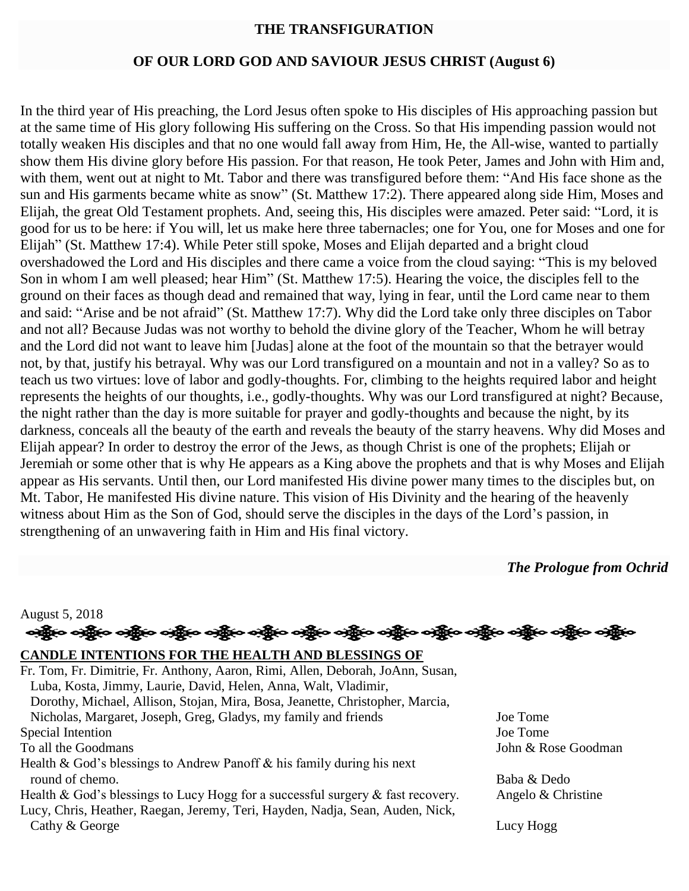#### **THE TRANSFIGURATION**

#### **OF OUR LORD GOD AND SAVIOUR JESUS CHRIST (August 6)**

In the third year of His preaching, the Lord Jesus often spoke to His disciples of His approaching passion but at the same time of His glory following His suffering on the Cross. So that His impending passion would not totally weaken His disciples and that no one would fall away from Him, He, the All-wise, wanted to partially show them His divine glory before His passion. For that reason, He took Peter, James and John with Him and, with them, went out at night to Mt. Tabor and there was transfigured before them: "And His face shone as the sun and His garments became white as snow" (St. Matthew 17:2). There appeared along side Him, Moses and Elijah, the great Old Testament prophets. And, seeing this, His disciples were amazed. Peter said: "Lord, it is good for us to be here: if You will, let us make here three tabernacles; one for You, one for Moses and one for Elijah" (St. Matthew 17:4). While Peter still spoke, Moses and Elijah departed and a bright cloud overshadowed the Lord and His disciples and there came a voice from the cloud saying: "This is my beloved Son in whom I am well pleased; hear Him" (St. Matthew 17:5). Hearing the voice, the disciples fell to the ground on their faces as though dead and remained that way, lying in fear, until the Lord came near to them and said: "Arise and be not afraid" (St. Matthew 17:7). Why did the Lord take only three disciples on Tabor and not all? Because Judas was not worthy to behold the divine glory of the Teacher, Whom he will betray and the Lord did not want to leave him [Judas] alone at the foot of the mountain so that the betrayer would not, by that, justify his betrayal. Why was our Lord transfigured on a mountain and not in a valley? So as to teach us two virtues: love of labor and godly-thoughts. For, climbing to the heights required labor and height represents the heights of our thoughts, i.e., godly-thoughts. Why was our Lord transfigured at night? Because, the night rather than the day is more suitable for prayer and godly-thoughts and because the night, by its darkness, conceals all the beauty of the earth and reveals the beauty of the starry heavens. Why did Moses and Elijah appear? In order to destroy the error of the Jews, as though Christ is one of the prophets; Elijah or Jeremiah or some other that is why He appears as a King above the prophets and that is why Moses and Elijah appear as His servants. Until then, our Lord manifested His divine power many times to the disciples but, on Mt. Tabor, He manifested His divine nature. This vision of His Divinity and the hearing of the heavenly witness about Him as the Son of God, should serve the disciples in the days of the Lord's passion, in strengthening of an unwavering faith in Him and His final victory.

*The Prologue from Ochrid*

August 5, 2018 န္သို့မ ခန္တီမ ခန္တီမ ခန္တီမ ခန္တီမ ခန္တီမ ခန္တီမ ခန္တီမ ခန္တီမ ခန္တီမ ခန္တီမ ခန္တီမ ခန္တီမ ခန္တီမ

#### **CANDLE INTENTIONS FOR THE HEALTH AND BLESSINGS OF**

Fr. Tom, Fr. Dimitrie, Fr. Anthony, Aaron, Rimi, Allen, Deborah, JoAnn, Susan, Luba, Kosta, Jimmy, Laurie, David, Helen, Anna, Walt, Vladimir, Dorothy, Michael, Allison, Stojan, Mira, Bosa, Jeanette, Christopher, Marcia, Nicholas, Margaret, Joseph, Greg, Gladys, my family and friends Joe Tome Special Intention Joe Tome

Health  $& God's blessings to Andrew Panoff & his family during his next$ round of chemo. Baba & Dedo

Health & God's blessings to Lucy Hogg for a successful surgery & fast recovery. Angelo & Christine Lucy, Chris, Heather, Raegan, Jeremy, Teri, Hayden, Nadja, Sean, Auden, Nick, Cathy & George Lucy Hogg

To all the Goodmans John & Rose Goodman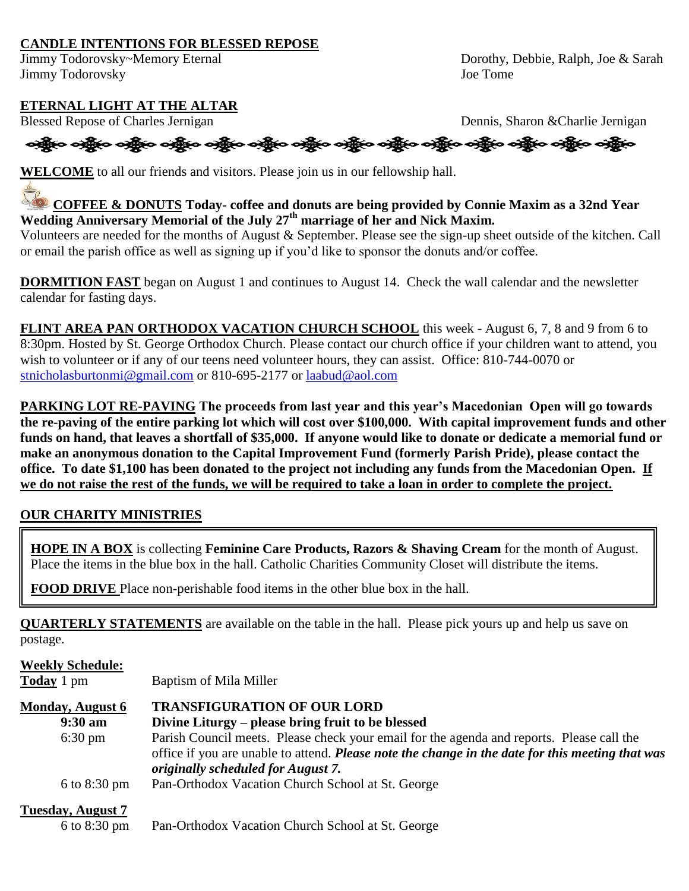### **CANDLE INTENTIONS FOR BLESSED REPOSE**

Jimmy Todorovsky Joe Tome

Jimmy Todorovsky~Memory Eternal Dorothy, Debbie, Ralph, Joe & Sarah

### **ETERNAL LIGHT AT THE ALTAR**

Blessed Repose of Charles Jernigan Dennis, Sharon & Charlie Jernigan

ခရွို့လ ခရွိ**့ သို့လ ခရွိသည့် သည့်လ ခရွိသည့်လည်း သ**ည့်လ ခရွိသည့် သည်။ သည်။ သည်။ သည်။

**WELCOME** to all our friends and visitors. Please join us in our fellowship hall.

### **COFFEE & DONUTS Today- coffee and donuts are being provided by Connie Maxim as a 32nd Year Wedding Anniversary Memorial of the July 27th marriage of her and Nick Maxim.**

Volunteers are needed for the months of August & September. Please see the sign-up sheet outside of the kitchen. Call or email the parish office as well as signing up if you'd like to sponsor the donuts and/or coffee.

**DORMITION FAST** began on August 1 and continues to August 14. Check the wall calendar and the newsletter calendar for fasting days.

**FLINT AREA PAN ORTHODOX VACATION CHURCH SCHOOL** this week - August 6, 7, 8 and 9 from 6 to 8:30pm. Hosted by St. George Orthodox Church. Please contact our church office if your children want to attend, you wish to volunteer or if any of our teens need volunteer hours, they can assist. Office: 810-744-0070 or [stnicholasburtonmi@gmail.com](mailto:stnicholasburtonmi@gmail.com) or 810-695-2177 or [laabud@aol.com](mailto:laabud@aol.com) 

**PARKING LOT RE-PAVING The proceeds from last year and this year's Macedonian Open will go towards the re-paving of the entire parking lot which will cost over \$100,000. With capital improvement funds and other funds on hand, that leaves a shortfall of \$35,000. If anyone would like to donate or dedicate a memorial fund or make an anonymous donation to the Capital Improvement Fund (formerly Parish Pride), please contact the office. To date \$1,100 has been donated to the project not including any funds from the Macedonian Open. If we do not raise the rest of the funds, we will be required to take a loan in order to complete the project.**

### **OUR CHARITY MINISTRIES**

**HOPE IN A BOX** is collecting **Feminine Care Products, Razors & Shaving Cream** for the month of August. Place the items in the blue box in the hall. Catholic Charities Community Closet will distribute the items.

**FOOD DRIVE** Place non-perishable food items in the other blue box in the hall.

**QUARTERLY STATEMENTS** are available on the table in the hall. Please pick yours up and help us save on postage.

| <b>Weekly Schedule:</b><br><b>Today</b> 1 pm | Baptism of Mila Miller                                                                                                                                                                                                              |
|----------------------------------------------|-------------------------------------------------------------------------------------------------------------------------------------------------------------------------------------------------------------------------------------|
| <b>Monday, August 6</b>                      | <b>TRANSFIGURATION OF OUR LORD</b>                                                                                                                                                                                                  |
| $9:30 \text{ am}$                            | Divine Liturgy – please bring fruit to be blessed                                                                                                                                                                                   |
| $6:30 \text{ pm}$                            | Parish Council meets. Please check your email for the agenda and reports. Please call the<br>office if you are unable to attend. Please note the change in the date for this meeting that was<br>originally scheduled for August 7. |
| 6 to 8:30 pm                                 | Pan-Orthodox Vacation Church School at St. George                                                                                                                                                                                   |
| <b>Tuesday, August 7</b>                     |                                                                                                                                                                                                                                     |
| 6 to 8:30 pm                                 | Pan-Orthodox Vacation Church School at St. George                                                                                                                                                                                   |